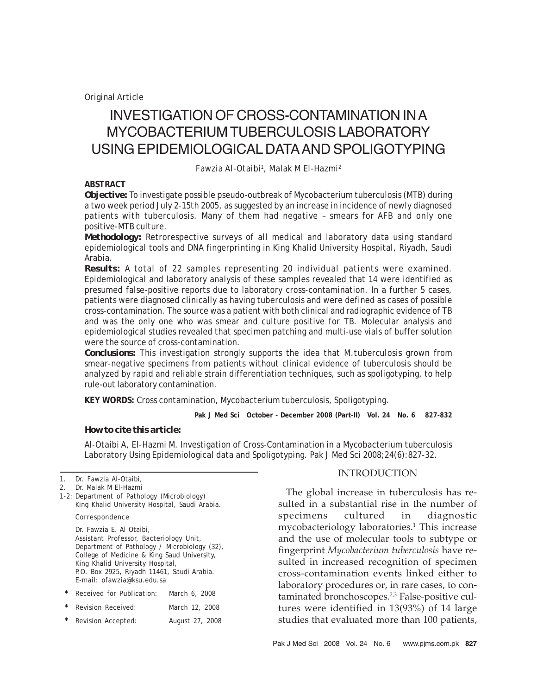*Original Article*

# INVESTIGATION OF CROSS-CONTAMINATION IN A MYCOBACTERIUM TUBERCULOSIS LABORATORY USING EPIDEMIOLOGICAL DATA AND SPOLIGOTYPING

*Fawzia Al-Otaibi1 , Malak M El-Hazmi2*

### **ABSTRACT**

*Objective:* To investigate possible pseudo-outbreak of Mycobacterium tuberculosis (MTB) during a two week period July 2-15th 2005, as suggested by an increase in incidence of newly diagnosed patients with tuberculosis. Many of them had negative – smears for AFB and only one positive-MTB culture.

*Methodology:* Retrorespective surveys of all medical and laboratory data using standard epidemiological tools and DNA fingerprinting in King Khalid University Hospital, Riyadh, Saudi Arabia.

*Results:* A total of 22 samples representing 20 individual patients were examined. Epidemiological and laboratory analysis of these samples revealed that 14 were identified as presumed false-positive reports due to laboratory cross-contamination. In a further 5 cases, patients were diagnosed clinically as having tuberculosis and were defined as cases of possible cross-contamination. The source was a patient with both clinical and radiographic evidence of TB and was the only one who was smear and culture positive for TB. Molecular analysis and epidemiological studies revealed that specimen patching and multi-use vials of buffer solution were the source of cross-contamination.

*Conclusions:* This investigation strongly supports the idea that *M.tuberculosis* grown from smear-negative specimens from patients without clinical evidence of tuberculosis should be analyzed by rapid and reliable strain differentiation techniques, such as spoligotyping, to help rule-out laboratory contamination.

**KEY WORDS:** Cross contamination, Mycobacterium tuberculosis, Spoligotyping.

**Pak J Med Sci October - December 2008 (Part-II) Vol. 24 No. 6 827-832**

## *How to cite this article:*

Al-Otaibi A, El-Hazmi M. Investigation of Cross-Contamination in a Mycobacterium tuberculosis Laboratory Using Epidemiological data and Spoligotyping. Pak J Med Sci 2008;24(6):827-32.

1-2: Department of Pathology (Microbiology) King Khalid University Hospital, Saudi Arabia.

#### Correspondence

Dr. Fawzia E. Al Otaibi, Assistant Professor, Bacteriology Unit, Department of Pathology / Microbiology (32), College of Medicine & King Saud University, King Khalid University Hospital, P.O. Box 2925, Riyadh 11461, Saudi Arabia. E-mail: ofawzia@ksu.edu.sa

| $\star$ | Received for Publication: | March 6, 2008   |
|---------|---------------------------|-----------------|
| $\star$ | Revision Received:        | March 12, 2008  |
| $\star$ | Revision Accepted:        | August 27, 2008 |

### INTRODUCTION

The global increase in tuberculosis has resulted in a substantial rise in the number of specimens cultured in diagnostic mycobacteriology laboratories.1 This increase and the use of molecular tools to subtype or fingerprint *Mycobacterium tuberculosis* have resulted in increased recognition of specimen cross-contamination events linked either to laboratory procedures or, in rare cases, to contaminated bronchoscopes.<sup>2,3</sup> False-positive cultures were identified in 13(93%) of 14 large studies that evaluated more than 100 patients,

<sup>1.</sup> Dr. Fawzia Al-Otaibi,

<sup>2.</sup> Dr. Malak M El-Hazmi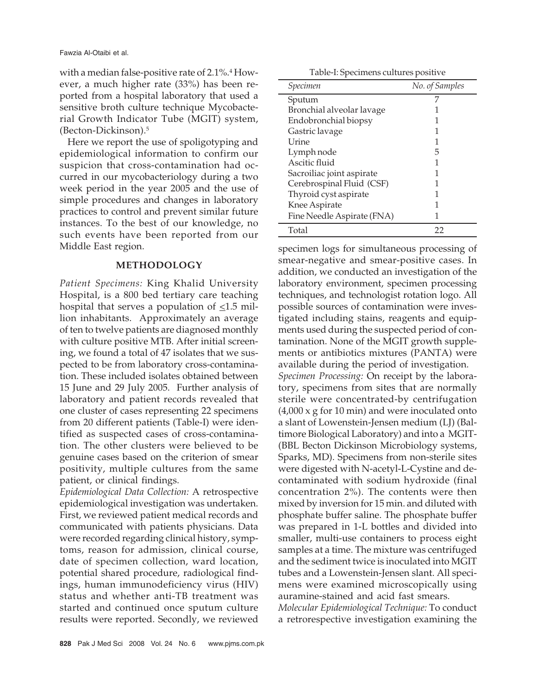with a median false-positive rate of 2.1%. $^4\rm{How}$ ever, a much higher rate (33%) has been reported from a hospital laboratory that used a sensitive broth culture technique Mycobacterial Growth Indicator Tube (MGIT) system, (Becton-Dickinson).5

Here we report the use of spoligotyping and epidemiological information to confirm our suspicion that cross-contamination had occurred in our mycobacteriology during a two week period in the year 2005 and the use of simple procedures and changes in laboratory practices to control and prevent similar future instances. To the best of our knowledge, no such events have been reported from our Middle East region.

## **METHODOLOGY**

*Patient Specimens:* King Khalid University Hospital, is a 800 bed tertiary care teaching hospital that serves a population of  $\leq$ 1.5 million inhabitants. Approximately an average of ten to twelve patients are diagnosed monthly with culture positive MTB. After initial screening, we found a total of 47 isolates that we suspected to be from laboratory cross-contamination. These included isolates obtained between 15 June and 29 July 2005. Further analysis of laboratory and patient records revealed that one cluster of cases representing 22 specimens from 20 different patients (Table-I) were identified as suspected cases of cross-contamination. The other clusters were believed to be genuine cases based on the criterion of smear positivity, multiple cultures from the same patient, or clinical findings.

*Epidemiological Data Collection:* A retrospective epidemiological investigation was undertaken. First, we reviewed patient medical records and communicated with patients physicians. Data were recorded regarding clinical history, symptoms, reason for admission, clinical course, date of specimen collection, ward location, potential shared procedure, radiological findings, human immunodeficiency virus (HIV) status and whether anti-TB treatment was started and continued once sputum culture results were reported. Secondly, we reviewed

Table-I: Specimens cultures positive

| Specimen                   | No. of Samples |
|----------------------------|----------------|
| Sputum                     |                |
| Bronchial alveolar lavage  |                |
| Endobronchial biopsy       |                |
| Gastric lavage             |                |
| I Jrine                    |                |
| Lymph node                 | 5              |
| Ascitic fluid              |                |
| Sacroiliac joint aspirate  |                |
| Cerebrospinal Fluid (CSF)  |                |
| Thyroid cyst aspirate      |                |
| Knee Aspirate              |                |
| Fine Needle Aspirate (FNA) |                |
| Total                      | 22             |

specimen logs for simultaneous processing of smear-negative and smear-positive cases. In addition, we conducted an investigation of the laboratory environment, specimen processing techniques, and technologist rotation logo. All possible sources of contamination were investigated including stains, reagents and equipments used during the suspected period of contamination. None of the MGIT growth supplements or antibiotics mixtures (PANTA) were available during the period of investigation. *Specimen Processing:* On receipt by the laboratory, specimens from sites that are normally sterile were concentrated-by centrifugation  $(4,000 \times g)$  for 10 min) and were inoculated onto a slant of Lowenstein-Jensen medium (LJ) (Baltimore Biological Laboratory) and into a MGIT- (BBL Becton Dickinson Microbiology systems, Sparks, MD). Specimens from non-sterile sites were digested with N-acetyl-L-Cystine and decontaminated with sodium hydroxide (final concentration 2%). The contents were then mixed by inversion for 15 min. and diluted with phosphate buffer saline. The phosphate buffer was prepared in 1-L bottles and divided into smaller, multi-use containers to process eight samples at a time. The mixture was centrifuged and the sediment twice is inoculated into MGIT tubes and a Lowenstein-Jensen slant. All specimens were examined microscopically using auramine-stained and acid fast smears.

*Molecular Epidemiological Technique:* To conduct a retrorespective investigation examining the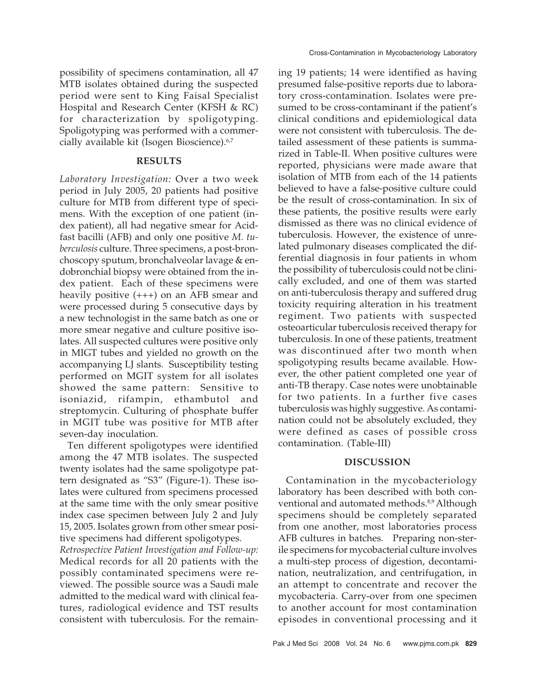possibility of specimens contamination, all 47 MTB isolates obtained during the suspected period were sent to King Faisal Specialist Hospital and Research Center (KFSH & RC) for characterization by spoligotyping. Spoligotyping was performed with a commercially available kit (Isogen Bioscience).<sup>6,7</sup>

## **RESULTS**

*Laboratory Investigation:* Over a two week period in July 2005, 20 patients had positive culture for MTB from different type of specimens. With the exception of one patient (index patient), all had negative smear for Acidfast bacilli (AFB) and only one positive *M. tuberculosis* culture. Three specimens, a post-bronchoscopy sputum, bronchalveolar lavage & endobronchial biopsy were obtained from the index patient. Each of these specimens were heavily positive (+++) on an AFB smear and were processed during 5 consecutive days by a new technologist in the same batch as one or more smear negative and culture positive isolates. All suspected cultures were positive only in MIGT tubes and yielded no growth on the accompanying LJ slants. Susceptibility testing performed on MGIT system for all isolates showed the same pattern: Sensitive to isoniazid, rifampin, ethambutol and streptomycin. Culturing of phosphate buffer in MGIT tube was positive for MTB after seven-day inoculation.

Ten different spoligotypes were identified among the 47 MTB isolates. The suspected twenty isolates had the same spoligotype pattern designated as "S3" (Figure-1). These isolates were cultured from specimens processed at the same time with the only smear positive index case specimen between July 2 and July 15, 2005. Isolates grown from other smear positive specimens had different spoligotypes.

*Retrospective Patient Investigation and Follow-up:* Medical records for all 20 patients with the possibly contaminated specimens were reviewed. The possible source was a Saudi male admitted to the medical ward with clinical features, radiological evidence and TST results consistent with tuberculosis. For the remaining 19 patients; 14 were identified as having presumed false-positive reports due to laboratory cross-contamination. Isolates were presumed to be cross-contaminant if the patient's clinical conditions and epidemiological data were not consistent with tuberculosis. The detailed assessment of these patients is summarized in Table-II. When positive cultures were reported, physicians were made aware that isolation of MTB from each of the 14 patients believed to have a false-positive culture could be the result of cross-contamination. In six of these patients, the positive results were early dismissed as there was no clinical evidence of tuberculosis. However, the existence of unrelated pulmonary diseases complicated the differential diagnosis in four patients in whom the possibility of tuberculosis could not be clinically excluded, and one of them was started on anti-tuberculosis therapy and suffered drug toxicity requiring alteration in his treatment regiment. Two patients with suspected osteoarticular tuberculosis received therapy for tuberculosis. In one of these patients, treatment was discontinued after two month when spoligotyping results became available. However, the other patient completed one year of anti-TB therapy. Case notes were unobtainable for two patients. In a further five cases tuberculosis was highly suggestive. As contamination could not be absolutely excluded, they were defined as cases of possible cross contamination. (Table-III)

#### **DISCUSSION**

Contamination in the mycobacteriology laboratory has been described with both conventional and automated methods.<sup>8,9</sup> Although specimens should be completely separated from one another, most laboratories process AFB cultures in batches. Preparing non-sterile specimens for mycobacterial culture involves a multi-step process of digestion, decontamination, neutralization, and centrifugation, in an attempt to concentrate and recover the mycobacteria. Carry-over from one specimen to another account for most contamination episodes in conventional processing and it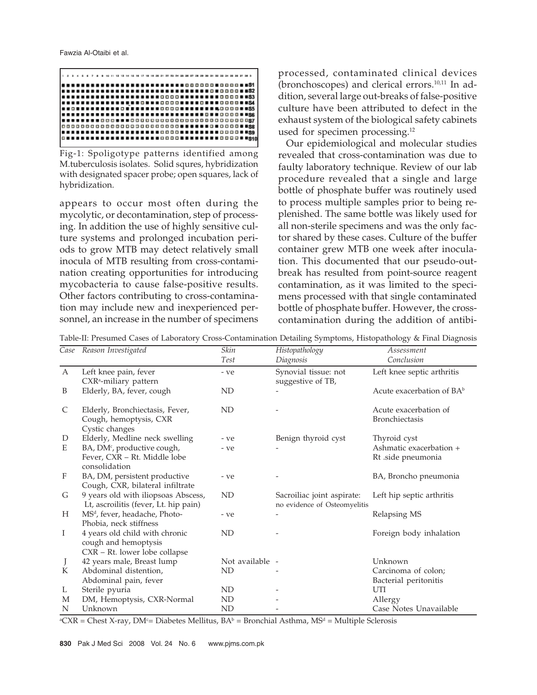

Fig-1: Spoligotype patterns identified among M.tuberculosis isolates. Solid squres, hybridization with designated spacer probe; open squares, lack of hybridization.

appears to occur most often during the mycolytic, or decontamination, step of processing. In addition the use of highly sensitive culture systems and prolonged incubation periods to grow MTB may detect relatively small inocula of MTB resulting from cross-contamination creating opportunities for introducing mycobacteria to cause false-positive results. Other factors contributing to cross-contamination may include new and inexperienced personnel, an increase in the number of specimens

processed, contaminated clinical devices (bronchoscopes) and clerical errors. $10,11$  In addition, several large out-breaks of false-positive culture have been attributed to defect in the exhaust system of the biological safety cabinets used for specimen processing.<sup>12</sup>

Our epidemiological and molecular studies revealed that cross-contamination was due to faulty laboratory technique. Review of our lab procedure revealed that a single and large bottle of phosphate buffer was routinely used to process multiple samples prior to being replenished. The same bottle was likely used for all non-sterile specimens and was the only factor shared by these cases. Culture of the buffer container grew MTB one week after inoculation. This documented that our pseudo-outbreak has resulted from point-source reagent contamination, as it was limited to the specimens processed with that single contaminated bottle of phosphate buffer. However, the crosscontamination during the addition of antibi-

Table-II: Presumed Cases of Laboratory Cross-Contamination Detailing Symptoms, Histopathology & Final Diagnosis

| Case         | Reason Investigated                       | Skin            | Histopathology               | Assessment                   |
|--------------|-------------------------------------------|-----------------|------------------------------|------------------------------|
|              |                                           | Test            | Diagnosis                    | Conclusion                   |
| $\mathbf{A}$ | Left knee pain, fever                     | - ve            | Synovial tissue: not         | Left knee septic arthritis   |
|              | CXR <sup>a</sup> -miliary pattern         |                 | suggestive of TB,            |                              |
| B            | Elderly, BA, fever, cough                 | <b>ND</b>       |                              | Acute exacerbation of $BA^b$ |
| C            | Elderly, Bronchiectasis, Fever,           | ND              |                              | Acute exacerbation of        |
|              | Cough, hemoptysis, CXR                    |                 |                              | <b>Bronchiectasis</b>        |
|              | Cystic changes                            |                 |                              |                              |
| D            | Elderly, Medline neck swelling            | - ve            | Benign thyroid cyst          | Thyroid cyst                 |
| E            | BA, DM <sup>c</sup> , productive cough,   | - ve            |                              | Ashmatic exacerbation +      |
|              | Fever, CXR - Rt. Middle lobe              |                 |                              | Rt .side pneumonia           |
|              | consolidation                             |                 |                              |                              |
| F            | BA, DM, persistent productive             | - ve            |                              | BA, Broncho pneumonia        |
|              | Cough, CXR, bilateral infiltrate          |                 |                              |                              |
| G            | 9 years old with iliopsoas Abscess,       | ND              | Sacroiliac joint aspirate:   | Left hip septic arthritis    |
|              | Lt, ascroilitis (fever, Lt. hip pain)     |                 | no evidence of Osteomyelitis |                              |
| Н            | MS <sup>d</sup> , fever, headache, Photo- | - ve            |                              | Relapsing MS                 |
|              | Phobia, neck stiffness                    |                 |                              |                              |
| I            | 4 years old child with chronic            | ND              |                              | Foreign body inhalation      |
|              | cough and hemoptysis                      |                 |                              |                              |
|              | CXR - Rt. lower lobe collapse             |                 |                              |                              |
| J            | 42 years male, Breast lump                | Not available - |                              | Unknown                      |
| K            | Abdominal distention,                     | ND              |                              | Carcinoma of colon;          |
|              | Abdominal pain, fever                     |                 |                              | Bacterial peritonitis        |
| L            | Sterile pyuria                            | ND              |                              | UTI                          |
| M            | DM, Hemoptysis, CXR-Normal                | <b>ND</b>       |                              | Allergy                      |
| N            | Unknown                                   | <b>ND</b>       |                              | Case Notes Unavailable       |

 $^{\rm aCXR}$  = Chest X-ray, DM<sup>c</sup>= Diabetes Mellitus, BA<sup>b</sup> = Bronchial Asthma, MS<sup>d</sup> = Multiple Sclerosis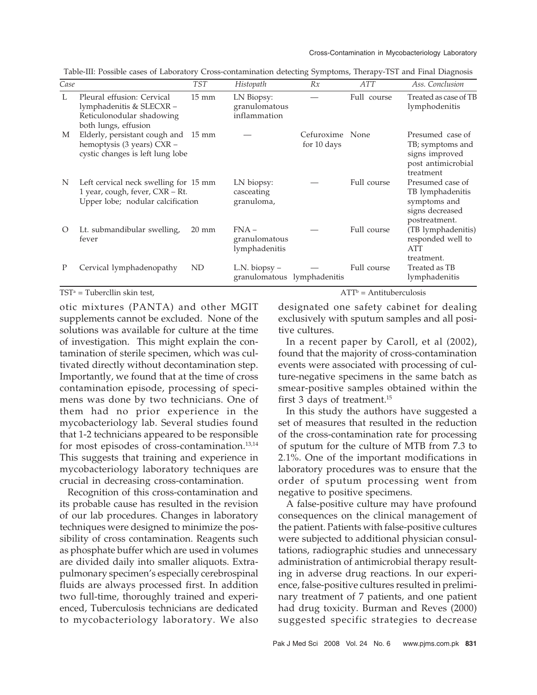|         |                                                                                                               |                 |                                                  |                           |             | $\checkmark$                                                                              |
|---------|---------------------------------------------------------------------------------------------------------------|-----------------|--------------------------------------------------|---------------------------|-------------|-------------------------------------------------------------------------------------------|
| Case    |                                                                                                               | <b>TST</b>      | Histopath                                        | Rx                        | <b>ATT</b>  | Ass. Conclusion                                                                           |
| L       | Pleural effusion: Cervical<br>lymphadenitis & SLECXR-<br>Reticulonodular shadowing<br>both lungs, effusion    | $15 \text{ mm}$ | LN Biopsy:<br>granulomatous<br>inflammation      |                           | Full course | Treated as case of TB<br>lymphodenitis                                                    |
| M       | Elderly, persistant cough and 15 mm<br>hemoptysis (3 years) CXR -<br>cystic changes is left lung lobe         |                 |                                                  | Cefuroxime<br>for 10 days | None        | Presumed case of<br>TB; symptoms and<br>signs improved<br>post antimicrobial<br>treatment |
| N       | Left cervical neck swelling for 15 mm<br>1 year, cough, fever, CXR - Rt.<br>Upper lobe; nodular calcification |                 | LN biopsy:<br>casceating<br>granuloma,           |                           | Full course | Presumed case of<br>TB lymphadenitis<br>symptoms and<br>signs decreased<br>postreatment.  |
| $\circ$ | Lt. submandibular swelling,<br>fever                                                                          | $20 \text{ mm}$ | $FNA -$<br>granulomatous<br>lymphadenitis        |                           | Full course | (TB lymphadenitis)<br>responded well to<br>ATT<br>treatment.                              |
| P       | Cervical lymphadenopathy                                                                                      | ND              | $L.N.$ biopsy $-$<br>granulomatous lymphadenitis |                           | Full course | Treated as TB<br>lymphadenitis                                                            |

Table-III: Possible cases of Laboratory Cross-contamination detecting Symptoms, Therapy-TST and Final Diagnosis

 $TST^a =$  Tubercllin skin test,  $ATT^b$ 

otic mixtures (PANTA) and other MGIT supplements cannot be excluded. None of the solutions was available for culture at the time of investigation. This might explain the contamination of sterile specimen, which was cultivated directly without decontamination step. Importantly, we found that at the time of cross contamination episode, processing of specimens was done by two technicians. One of them had no prior experience in the mycobacteriology lab. Several studies found that 1-2 technicians appeared to be responsible for most episodes of cross-contamination.13,14 This suggests that training and experience in mycobacteriology laboratory techniques are crucial in decreasing cross-contamination.

Recognition of this cross-contamination and its probable cause has resulted in the revision of our lab procedures. Changes in laboratory techniques were designed to minimize the possibility of cross contamination. Reagents such as phosphate buffer which are used in volumes are divided daily into smaller aliquots. Extrapulmonary specimen's especially cerebrospinal fluids are always processed first. In addition two full-time, thoroughly trained and experienced, Tuberculosis technicians are dedicated to mycobacteriology laboratory. We also  $\mathrm{ATT}^\mathrm{b} = \mathrm{Antituberculosis}$ 

designated one safety cabinet for dealing exclusively with sputum samples and all positive cultures.

In a recent paper by Caroll, et al (2002), found that the majority of cross-contamination events were associated with processing of culture-negative specimens in the same batch as smear-positive samples obtained within the first 3 days of treatment.15

In this study the authors have suggested a set of measures that resulted in the reduction of the cross-contamination rate for processing of sputum for the culture of MTB from 7.3 to 2.1%. One of the important modifications in laboratory procedures was to ensure that the order of sputum processing went from negative to positive specimens.

A false-positive culture may have profound consequences on the clinical management of the patient. Patients with false-positive cultures were subjected to additional physician consultations, radiographic studies and unnecessary administration of antimicrobial therapy resulting in adverse drug reactions. In our experience, false-positive cultures resulted in preliminary treatment of 7 patients, and one patient had drug toxicity. Burman and Reves (2000) suggested specific strategies to decrease